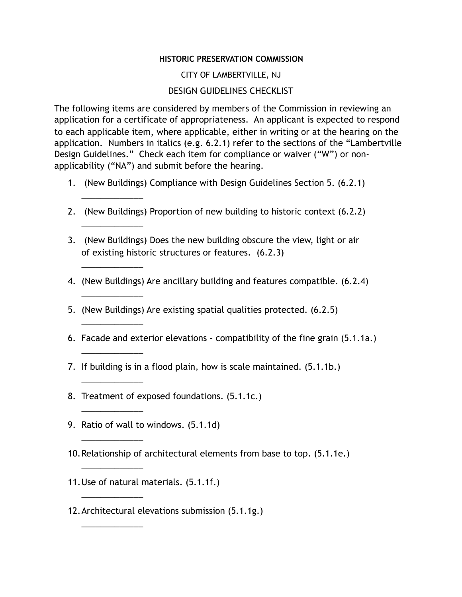## **HISTORIC PRESERVATION COMMISSION**

## CITY OF LAMBERTVILLE, NJ

## DESIGN GUIDELINES CHECKLIST

The following items are considered by members of the Commission in reviewing an application for a certificate of appropriateness. An applicant is expected to respond to each applicable item, where applicable, either in writing or at the hearing on the application. Numbers in italics (e.g. 6.2.1) refer to the sections of the "Lambertville Design Guidelines." Check each item for compliance or waiver ("W") or nonapplicability ("NA") and submit before the hearing.

- 1. (New Buildings) Compliance with Design Guidelines Section 5. (6.2.1)
- 2. (New Buildings) Proportion of new building to historic context (6.2.2)
- 3. (New Buildings) Does the new building obscure the view, light or air of existing historic structures or features. (6.2.3)
- 4. (New Buildings) Are ancillary building and features compatible. (6.2.4)
- 5. (New Buildings) Are existing spatial qualities protected. (6.2.5)
- 6. Facade and exterior elevations compatibility of the fine grain (5.1.1a.)
- 7. If building is in a flood plain, how is scale maintained. (5.1.1b.)
- 8. Treatment of exposed foundations. (5.1.1c.)
- 9. Ratio of wall to windows. (5.1.1d)

\_\_\_\_\_\_\_\_\_\_\_\_\_

\_\_\_\_\_\_\_\_\_\_\_\_\_

\_\_\_\_\_\_\_\_\_\_\_\_\_

\_\_\_\_\_\_\_\_\_\_\_\_\_

\_\_\_\_\_\_\_\_\_\_\_\_\_

\_\_\_\_\_\_\_\_\_\_\_\_\_

\_\_\_\_\_\_\_\_\_\_\_\_\_

\_\_\_\_\_\_\_\_\_\_\_\_\_

\_\_\_\_\_\_\_\_\_\_\_\_\_

\_\_\_\_\_\_\_\_\_\_\_\_\_

\_\_\_\_\_\_\_\_\_\_\_\_\_

\_\_\_\_\_\_\_\_\_\_\_\_\_

- 10.Relationship of architectural elements from base to top. (5.1.1e.)
- 11.Use of natural materials. (5.1.1f.)
- 12.Architectural elevations submission (5.1.1g.)